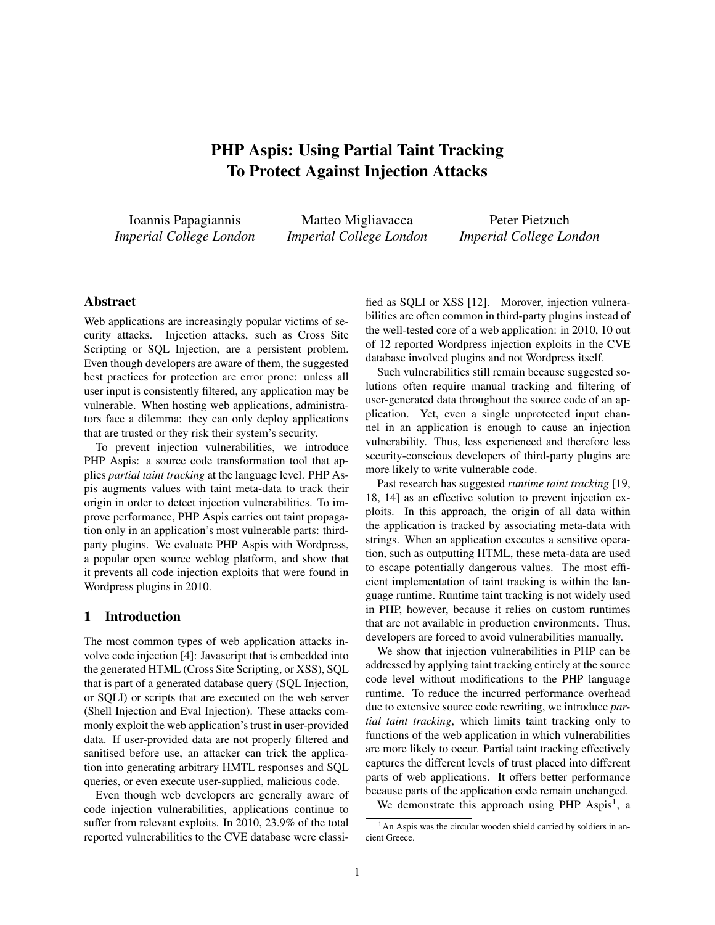# PHP Aspis: Using Partial Taint Tracking To Protect Against Injection Attacks

Ioannis Papagiannis *Imperial College London*

Matteo Migliavacca *Imperial College London*

Peter Pietzuch *Imperial College London*

### Abstract

Web applications are increasingly popular victims of security attacks. Injection attacks, such as Cross Site Scripting or SQL Injection, are a persistent problem. Even though developers are aware of them, the suggested best practices for protection are error prone: unless all user input is consistently filtered, any application may be vulnerable. When hosting web applications, administrators face a dilemma: they can only deploy applications that are trusted or they risk their system's security.

To prevent injection vulnerabilities, we introduce PHP Aspis: a source code transformation tool that applies *partial taint tracking* at the language level. PHP Aspis augments values with taint meta-data to track their origin in order to detect injection vulnerabilities. To improve performance, PHP Aspis carries out taint propagation only in an application's most vulnerable parts: thirdparty plugins. We evaluate PHP Aspis with Wordpress, a popular open source weblog platform, and show that it prevents all code injection exploits that were found in Wordpress plugins in 2010.

## 1 Introduction

The most common types of web application attacks involve code injection [4]: Javascript that is embedded into the generated HTML (Cross Site Scripting, or XSS), SQL that is part of a generated database query (SQL Injection, or SQLI) or scripts that are executed on the web server (Shell Injection and Eval Injection). These attacks commonly exploit the web application's trust in user-provided data. If user-provided data are not properly filtered and sanitised before use, an attacker can trick the application into generating arbitrary HMTL responses and SQL queries, or even execute user-supplied, malicious code.

Even though web developers are generally aware of code injection vulnerabilities, applications continue to suffer from relevant exploits. In 2010, 23.9% of the total reported vulnerabilities to the CVE database were classified as SQLI or XSS [12]. Morover, injection vulnerabilities are often common in third-party plugins instead of the well-tested core of a web application: in 2010, 10 out of 12 reported Wordpress injection exploits in the CVE database involved plugins and not Wordpress itself.

Such vulnerabilities still remain because suggested solutions often require manual tracking and filtering of user-generated data throughout the source code of an application. Yet, even a single unprotected input channel in an application is enough to cause an injection vulnerability. Thus, less experienced and therefore less security-conscious developers of third-party plugins are more likely to write vulnerable code.

Past research has suggested *runtime taint tracking* [19, 18, 14] as an effective solution to prevent injection exploits. In this approach, the origin of all data within the application is tracked by associating meta-data with strings. When an application executes a sensitive operation, such as outputting HTML, these meta-data are used to escape potentially dangerous values. The most efficient implementation of taint tracking is within the language runtime. Runtime taint tracking is not widely used in PHP, however, because it relies on custom runtimes that are not available in production environments. Thus, developers are forced to avoid vulnerabilities manually.

We show that injection vulnerabilities in PHP can be addressed by applying taint tracking entirely at the source code level without modifications to the PHP language runtime. To reduce the incurred performance overhead due to extensive source code rewriting, we introduce *partial taint tracking*, which limits taint tracking only to functions of the web application in which vulnerabilities are more likely to occur. Partial taint tracking effectively captures the different levels of trust placed into different parts of web applications. It offers better performance because parts of the application code remain unchanged.

We demonstrate this approach using PHP Aspis<sup>1</sup>, a

 $<sup>1</sup>$ An Aspis was the circular wooden shield carried by soldiers in an-</sup> cient Greece.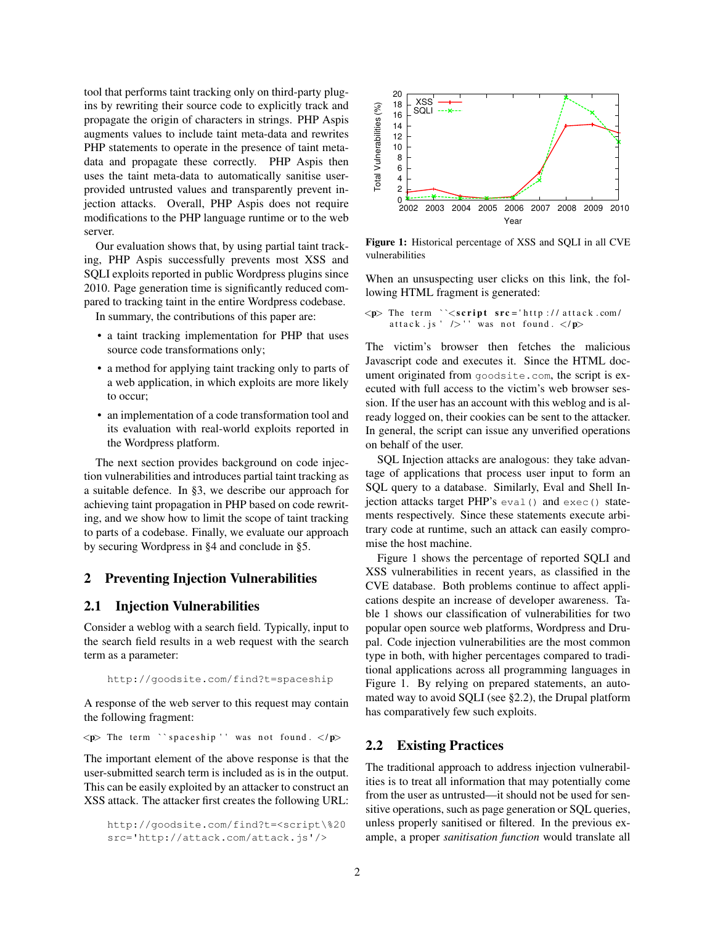tool that performs taint tracking only on third-party plugins by rewriting their source code to explicitly track and propagate the origin of characters in strings. PHP Aspis augments values to include taint meta-data and rewrites PHP statements to operate in the presence of taint metadata and propagate these correctly. PHP Aspis then uses the taint meta-data to automatically sanitise userprovided untrusted values and transparently prevent injection attacks. Overall, PHP Aspis does not require modifications to the PHP language runtime or to the web server.

Our evaluation shows that, by using partial taint tracking, PHP Aspis successfully prevents most XSS and SQLI exploits reported in public Wordpress plugins since 2010. Page generation time is significantly reduced compared to tracking taint in the entire Wordpress codebase.

In summary, the contributions of this paper are:

- a taint tracking implementation for PHP that uses source code transformations only;
- a method for applying taint tracking only to parts of a web application, in which exploits are more likely to occur;
- an implementation of a code transformation tool and its evaluation with real-world exploits reported in the Wordpress platform.

The next section provides background on code injection vulnerabilities and introduces partial taint tracking as a suitable defence. In §3, we describe our approach for achieving taint propagation in PHP based on code rewriting, and we show how to limit the scope of taint tracking to parts of a codebase. Finally, we evaluate our approach by securing Wordpress in §4 and conclude in §5.

### 2 Preventing Injection Vulnerabilities

### 2.1 Injection Vulnerabilities

Consider a weblog with a search field. Typically, input to the search field results in a web request with the search term as a parameter:

```
http://goodsite.com/find?t=spaceship
```
A response of the web server to this request may contain the following fragment:

 $\langle p \rangle$  The term "spaceship" was not found.  $\langle p \rangle$ 

The important element of the above response is that the user-submitted search term is included as is in the output. This can be easily exploited by an attacker to construct an XSS attack. The attacker first creates the following URL:

```
http://goodsite.com/find?t=<script\%20
src='http://attack.com/attack.js'/>
```


Figure 1: Historical percentage of XSS and SQLI in all CVE vulnerabilities

When an unsuspecting user clicks on this link, the following HTML fragment is generated:

 $p$  The term ``<script src='http://attack.com/ attack.js '  $\sqrt{>}$  '' was not found.  $\langle p \rangle$ 

The victim's browser then fetches the malicious Javascript code and executes it. Since the HTML document originated from goodsite.com, the script is executed with full access to the victim's web browser session. If the user has an account with this weblog and is already logged on, their cookies can be sent to the attacker. In general, the script can issue any unverified operations on behalf of the user.

SQL Injection attacks are analogous: they take advantage of applications that process user input to form an SQL query to a database. Similarly, Eval and Shell Injection attacks target PHP's eval() and exec() statements respectively. Since these statements execute arbitrary code at runtime, such an attack can easily compromise the host machine.

Figure 1 shows the percentage of reported SQLI and XSS vulnerabilities in recent years, as classified in the CVE database. Both problems continue to affect applications despite an increase of developer awareness. Table 1 shows our classification of vulnerabilities for two popular open source web platforms, Wordpress and Drupal. Code injection vulnerabilities are the most common type in both, with higher percentages compared to traditional applications across all programming languages in Figure 1. By relying on prepared statements, an automated way to avoid SQLI (see §2.2), the Drupal platform has comparatively few such exploits.

### 2.2 Existing Practices

The traditional approach to address injection vulnerabilities is to treat all information that may potentially come from the user as untrusted—it should not be used for sensitive operations, such as page generation or SQL queries, unless properly sanitised or filtered. In the previous example, a proper *sanitisation function* would translate all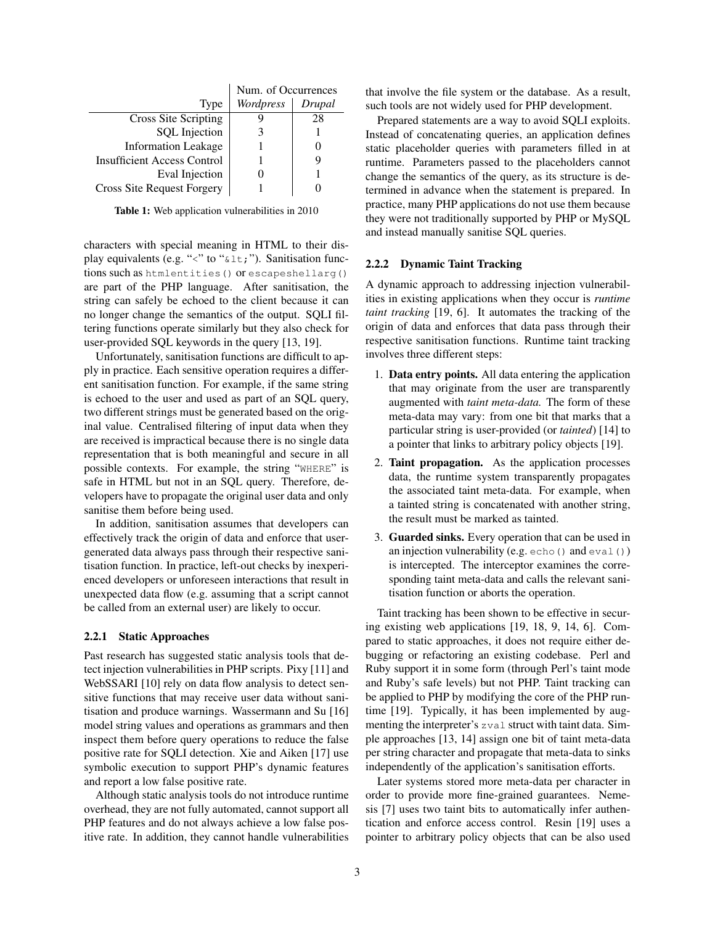|                                    | Num. of Occurrences |        |
|------------------------------------|---------------------|--------|
| Type                               | Wordpress           | Drupal |
| Cross Site Scripting               |                     | 28     |
| <b>SQL</b> Injection               |                     |        |
| <b>Information Leakage</b>         |                     |        |
| <b>Insufficient Access Control</b> |                     |        |
| Eval Injection                     |                     |        |
| Cross Site Request Forgery         |                     |        |

Table 1: Web application vulnerabilities in 2010

characters with special meaning in HTML to their display equivalents (e.g. "<" to " $\&$ 1 $\pm$ ;"). Sanitisation functions such as htmlentities() or escapeshellarg() are part of the PHP language. After sanitisation, the string can safely be echoed to the client because it can no longer change the semantics of the output. SQLI filtering functions operate similarly but they also check for user-provided SQL keywords in the query [13, 19].

Unfortunately, sanitisation functions are difficult to apply in practice. Each sensitive operation requires a different sanitisation function. For example, if the same string is echoed to the user and used as part of an SQL query, two different strings must be generated based on the original value. Centralised filtering of input data when they are received is impractical because there is no single data representation that is both meaningful and secure in all possible contexts. For example, the string "WHERE" is safe in HTML but not in an SQL query. Therefore, developers have to propagate the original user data and only sanitise them before being used.

In addition, sanitisation assumes that developers can effectively track the origin of data and enforce that usergenerated data always pass through their respective sanitisation function. In practice, left-out checks by inexperienced developers or unforeseen interactions that result in unexpected data flow (e.g. assuming that a script cannot be called from an external user) are likely to occur.

### 2.2.1 Static Approaches

Past research has suggested static analysis tools that detect injection vulnerabilities in PHP scripts. Pixy [11] and WebSSARI [10] rely on data flow analysis to detect sensitive functions that may receive user data without sanitisation and produce warnings. Wassermann and Su [16] model string values and operations as grammars and then inspect them before query operations to reduce the false positive rate for SQLI detection. Xie and Aiken [17] use symbolic execution to support PHP's dynamic features and report a low false positive rate.

Although static analysis tools do not introduce runtime overhead, they are not fully automated, cannot support all PHP features and do not always achieve a low false positive rate. In addition, they cannot handle vulnerabilities that involve the file system or the database. As a result, such tools are not widely used for PHP development.

Prepared statements are a way to avoid SQLI exploits. Instead of concatenating queries, an application defines static placeholder queries with parameters filled in at runtime. Parameters passed to the placeholders cannot change the semantics of the query, as its structure is determined in advance when the statement is prepared. In practice, many PHP applications do not use them because they were not traditionally supported by PHP or MySQL and instead manually sanitise SQL queries.

#### 2.2.2 Dynamic Taint Tracking

A dynamic approach to addressing injection vulnerabilities in existing applications when they occur is *runtime taint tracking* [19, 6]. It automates the tracking of the origin of data and enforces that data pass through their respective sanitisation functions. Runtime taint tracking involves three different steps:

- 1. Data entry points. All data entering the application that may originate from the user are transparently augmented with *taint meta-data.* The form of these meta-data may vary: from one bit that marks that a particular string is user-provided (or *tainted*) [14] to a pointer that links to arbitrary policy objects [19].
- 2. Taint propagation. As the application processes data, the runtime system transparently propagates the associated taint meta-data. For example, when a tainted string is concatenated with another string, the result must be marked as tainted.
- 3. Guarded sinks. Every operation that can be used in an injection vulnerability (e.g.  $\text{echo}$ ) and  $\text{eval}$ )) is intercepted. The interceptor examines the corresponding taint meta-data and calls the relevant sanitisation function or aborts the operation.

Taint tracking has been shown to be effective in securing existing web applications [19, 18, 9, 14, 6]. Compared to static approaches, it does not require either debugging or refactoring an existing codebase. Perl and Ruby support it in some form (through Perl's taint mode and Ruby's safe levels) but not PHP. Taint tracking can be applied to PHP by modifying the core of the PHP runtime [19]. Typically, it has been implemented by augmenting the interpreter's zval struct with taint data. Simple approaches [13, 14] assign one bit of taint meta-data per string character and propagate that meta-data to sinks independently of the application's sanitisation efforts.

Later systems stored more meta-data per character in order to provide more fine-grained guarantees. Nemesis [7] uses two taint bits to automatically infer authentication and enforce access control. Resin [19] uses a pointer to arbitrary policy objects that can be also used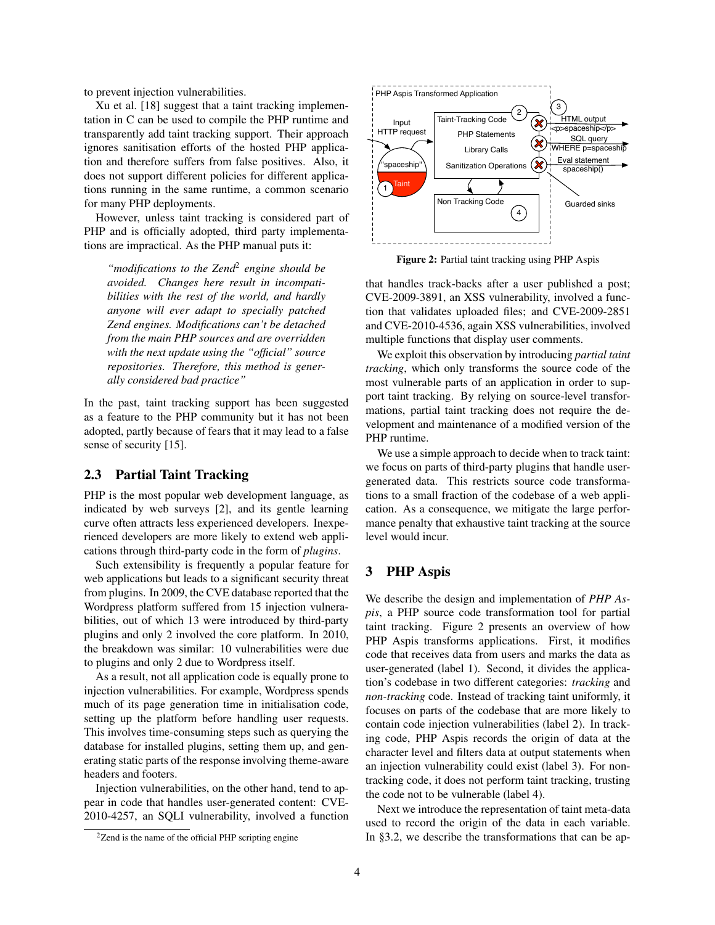to prevent injection vulnerabilities.

Xu et al. [18] suggest that a taint tracking implementation in C can be used to compile the PHP runtime and transparently add taint tracking support. Their approach ignores sanitisation efforts of the hosted PHP application and therefore suffers from false positives. Also, it does not support different policies for different applications running in the same runtime, a common scenario for many PHP deployments.

However, unless taint tracking is considered part of PHP and is officially adopted, third party implementations are impractical. As the PHP manual puts it:

*"modifications to the Zend*<sup>2</sup> *engine should be avoided. Changes here result in incompatibilities with the rest of the world, and hardly anyone will ever adapt to specially patched Zend engines. Modifications can't be detached from the main PHP sources and are overridden with the next update using the "official" source repositories. Therefore, this method is generally considered bad practice"*

In the past, taint tracking support has been suggested as a feature to the PHP community but it has not been adopted, partly because of fears that it may lead to a false sense of security [15].

## 2.3 Partial Taint Tracking

PHP is the most popular web development language, as indicated by web surveys [2], and its gentle learning curve often attracts less experienced developers. Inexperienced developers are more likely to extend web applications through third-party code in the form of *plugins*.

Such extensibility is frequently a popular feature for web applications but leads to a significant security threat from plugins. In 2009, the CVE database reported that the Wordpress platform suffered from 15 injection vulnerabilities, out of which 13 were introduced by third-party plugins and only 2 involved the core platform. In 2010, the breakdown was similar: 10 vulnerabilities were due to plugins and only 2 due to Wordpress itself.

As a result, not all application code is equally prone to injection vulnerabilities. For example, Wordpress spends much of its page generation time in initialisation code, setting up the platform before handling user requests. This involves time-consuming steps such as querying the database for installed plugins, setting them up, and generating static parts of the response involving theme-aware headers and footers.

Injection vulnerabilities, on the other hand, tend to appear in code that handles user-generated content: CVE-2010-4257, an SQLI vulnerability, involved a function



Figure 2: Partial taint tracking using PHP Aspis

that handles track-backs after a user published a post; CVE-2009-3891, an XSS vulnerability, involved a function that validates uploaded files; and CVE-2009-2851 and CVE-2010-4536, again XSS vulnerabilities, involved multiple functions that display user comments.

We exploit this observation by introducing *partial taint tracking*, which only transforms the source code of the most vulnerable parts of an application in order to support taint tracking. By relying on source-level transformations, partial taint tracking does not require the development and maintenance of a modified version of the PHP runtime.

We use a simple approach to decide when to track taint: we focus on parts of third-party plugins that handle usergenerated data. This restricts source code transformations to a small fraction of the codebase of a web application. As a consequence, we mitigate the large performance penalty that exhaustive taint tracking at the source level would incur.

# 3 PHP Aspis

We describe the design and implementation of *PHP Aspis*, a PHP source code transformation tool for partial taint tracking. Figure 2 presents an overview of how PHP Aspis transforms applications. First, it modifies code that receives data from users and marks the data as user-generated (label 1). Second, it divides the application's codebase in two different categories: *tracking* and *non-tracking* code. Instead of tracking taint uniformly, it focuses on parts of the codebase that are more likely to contain code injection vulnerabilities (label 2). In tracking code, PHP Aspis records the origin of data at the character level and filters data at output statements when an injection vulnerability could exist (label 3). For nontracking code, it does not perform taint tracking, trusting the code not to be vulnerable (label 4).

Next we introduce the representation of taint meta-data used to record the origin of the data in each variable. In §3.2, we describe the transformations that can be ap-

 $2$ Zend is the name of the official PHP scripting engine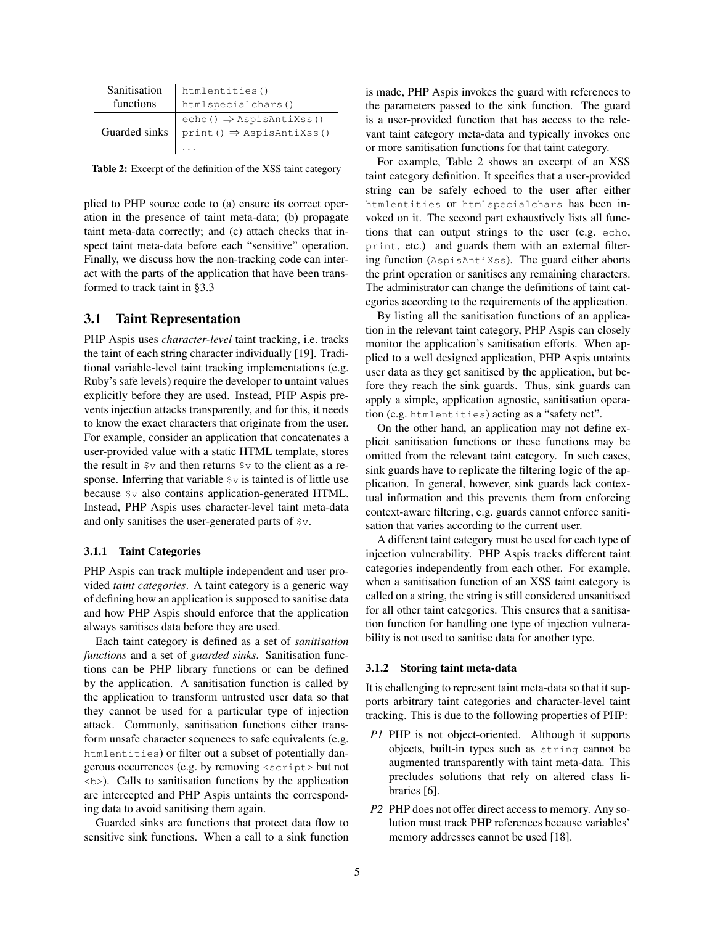| Sanitisation | htmlentities()                                                                                                                                        |  |
|--------------|-------------------------------------------------------------------------------------------------------------------------------------------------------|--|
| functions    | htmlspecialchars()                                                                                                                                    |  |
|              | Guarded sinks $\begin{pmatrix} \text{echo}(1) \Rightarrow \text{AspisAntixss}(1) \\ \text{print}(1) \Rightarrow \text{AspisAntixss}(1) \end{pmatrix}$ |  |
|              |                                                                                                                                                       |  |
|              |                                                                                                                                                       |  |

Table 2: Excerpt of the definition of the XSS taint category

plied to PHP source code to (a) ensure its correct operation in the presence of taint meta-data; (b) propagate taint meta-data correctly; and (c) attach checks that inspect taint meta-data before each "sensitive" operation. Finally, we discuss how the non-tracking code can interact with the parts of the application that have been transformed to track taint in §3.3

### 3.1 Taint Representation

PHP Aspis uses *character-level* taint tracking, i.e. tracks the taint of each string character individually [19]. Traditional variable-level taint tracking implementations (e.g. Ruby's safe levels) require the developer to untaint values explicitly before they are used. Instead, PHP Aspis prevents injection attacks transparently, and for this, it needs to know the exact characters that originate from the user. For example, consider an application that concatenates a user-provided value with a static HTML template, stores the result in  $\gamma \nu$  and then returns  $\gamma \nu$  to the client as a response. Inferring that variable  $\gamma v$  is tainted is of little use because \$v also contains application-generated HTML. Instead, PHP Aspis uses character-level taint meta-data and only sanitises the user-generated parts of \$v.

#### 3.1.1 Taint Categories

PHP Aspis can track multiple independent and user provided *taint categories*. A taint category is a generic way of defining how an application is supposed to sanitise data and how PHP Aspis should enforce that the application always sanitises data before they are used.

Each taint category is defined as a set of *sanitisation functions* and a set of *guarded sinks*. Sanitisation functions can be PHP library functions or can be defined by the application. A sanitisation function is called by the application to transform untrusted user data so that they cannot be used for a particular type of injection attack. Commonly, sanitisation functions either transform unsafe character sequences to safe equivalents (e.g. htmlentities) or filter out a subset of potentially dangerous occurrences (e.g. by removing <script> but not <b>). Calls to sanitisation functions by the application are intercepted and PHP Aspis untaints the corresponding data to avoid sanitising them again.

Guarded sinks are functions that protect data flow to sensitive sink functions. When a call to a sink function is made, PHP Aspis invokes the guard with references to the parameters passed to the sink function. The guard is a user-provided function that has access to the relevant taint category meta-data and typically invokes one or more sanitisation functions for that taint category.

For example, Table 2 shows an excerpt of an XSS taint category definition. It specifies that a user-provided string can be safely echoed to the user after either htmlentities or htmlspecialchars has been invoked on it. The second part exhaustively lists all functions that can output strings to the user (e.g. echo, print, etc.) and guards them with an external filtering function (AspisAntiXss). The guard either aborts the print operation or sanitises any remaining characters. The administrator can change the definitions of taint categories according to the requirements of the application.

By listing all the sanitisation functions of an application in the relevant taint category, PHP Aspis can closely monitor the application's sanitisation efforts. When applied to a well designed application, PHP Aspis untaints user data as they get sanitised by the application, but before they reach the sink guards. Thus, sink guards can apply a simple, application agnostic, sanitisation operation (e.g. htmlentities) acting as a "safety net".

On the other hand, an application may not define explicit sanitisation functions or these functions may be omitted from the relevant taint category. In such cases, sink guards have to replicate the filtering logic of the application. In general, however, sink guards lack contextual information and this prevents them from enforcing context-aware filtering, e.g. guards cannot enforce sanitisation that varies according to the current user.

A different taint category must be used for each type of injection vulnerability. PHP Aspis tracks different taint categories independently from each other. For example, when a sanitisation function of an XSS taint category is called on a string, the string is still considered unsanitised for all other taint categories. This ensures that a sanitisation function for handling one type of injection vulnerability is not used to sanitise data for another type.

#### 3.1.2 Storing taint meta-data

It is challenging to represent taint meta-data so that it supports arbitrary taint categories and character-level taint tracking. This is due to the following properties of PHP:

- *P1* PHP is not object-oriented. Although it supports objects, built-in types such as string cannot be augmented transparently with taint meta-data. This precludes solutions that rely on altered class libraries [6].
- *P2* PHP does not offer direct access to memory. Any solution must track PHP references because variables' memory addresses cannot be used [18].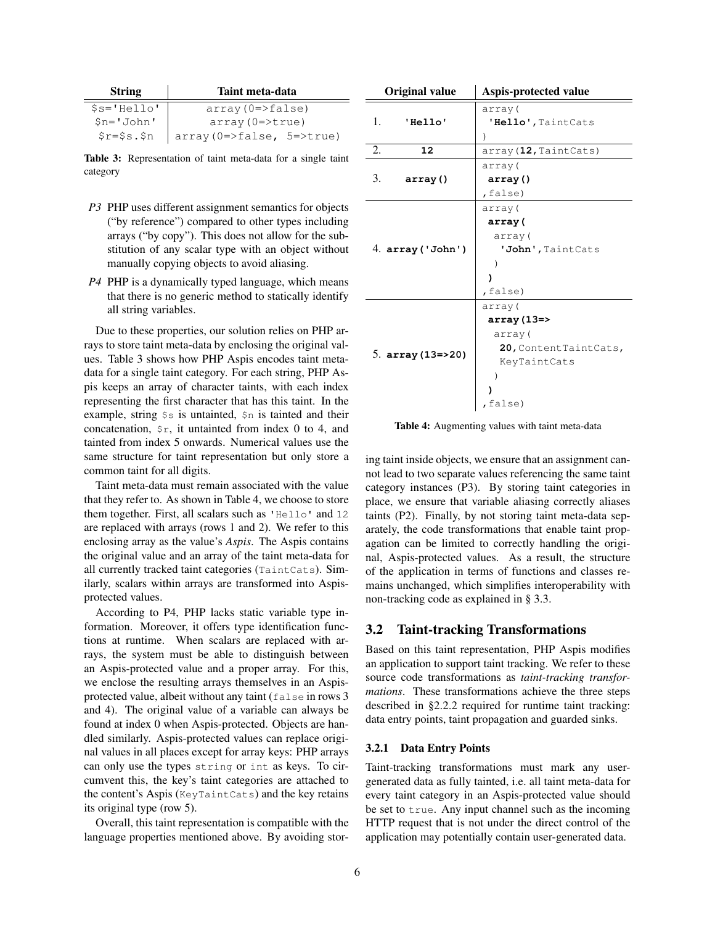| <b>String</b>                    | Taint meta-data                |  |
|----------------------------------|--------------------------------|--|
| $$s$ ='Hello'                    | $array(0=5$ false)             |  |
| $Sn = 'John'$                    | $array(0=>true)$               |  |
| $\frac{5r}{5s}$ . $\frac{5n}{5}$ | $array(0=5$ false, 5= $>true)$ |  |

Table 3: Representation of taint meta-data for a single taint category

- *P3* PHP uses different assignment semantics for objects ("by reference") compared to other types including arrays ("by copy"). This does not allow for the substitution of any scalar type with an object without manually copying objects to avoid aliasing.
- *P4* PHP is a dynamically typed language, which means that there is no generic method to statically identify all string variables.

Due to these properties, our solution relies on PHP arrays to store taint meta-data by enclosing the original values. Table 3 shows how PHP Aspis encodes taint metadata for a single taint category. For each string, PHP Aspis keeps an array of character taints, with each index representing the first character that has this taint. In the example, string \$s is untainted, \$n is tainted and their concatenation,  $\zeta r$ , it untainted from index 0 to 4, and tainted from index 5 onwards. Numerical values use the same structure for taint representation but only store a common taint for all digits.

Taint meta-data must remain associated with the value that they refer to. As shown in Table 4, we choose to store them together. First, all scalars such as 'Hello' and 12 are replaced with arrays (rows 1 and 2). We refer to this enclosing array as the value's *Aspis*. The Aspis contains the original value and an array of the taint meta-data for all currently tracked taint categories (TaintCats). Similarly, scalars within arrays are transformed into Aspisprotected values.

According to P4, PHP lacks static variable type information. Moreover, it offers type identification functions at runtime. When scalars are replaced with arrays, the system must be able to distinguish between an Aspis-protected value and a proper array. For this, we enclose the resulting arrays themselves in an Aspisprotected value, albeit without any taint (false in rows 3 and 4). The original value of a variable can always be found at index 0 when Aspis-protected. Objects are handled similarly. Aspis-protected values can replace original values in all places except for array keys: PHP arrays can only use the types string or int as keys. To circumvent this, the key's taint categories are attached to the content's Aspis (KeyTaintCats) and the key retains its original type (row 5).

Overall, this taint representation is compatible with the language properties mentioned above. By avoiding stor-

| <b>Original value</b> | Aspis-protected value |
|-----------------------|-----------------------|
|                       | array (               |
| 1.<br>'Hello'         | 'Hello', TaintCats    |
|                       | $\lambda$             |
| 2.<br>12              | array (12, TaintCats) |
|                       | array (               |
| 3.<br>array()         | array()               |
|                       | ,false)               |
|                       | array (               |
|                       | array(                |
|                       | array (               |
| 4. array ('John')     | 'John', TaintCats     |
|                       |                       |
|                       |                       |
|                       | false)                |
|                       | array (               |
| 5. $array(13=>20)$    | $array(13=$           |
|                       | array (               |
|                       | 20, ContentTaintCats, |
|                       | KeyTaintCats          |
|                       |                       |
|                       |                       |
|                       | ,false)               |

Table 4: Augmenting values with taint meta-data

ing taint inside objects, we ensure that an assignment cannot lead to two separate values referencing the same taint category instances (P3). By storing taint categories in place, we ensure that variable aliasing correctly aliases taints (P2). Finally, by not storing taint meta-data separately, the code transformations that enable taint propagation can be limited to correctly handling the original, Aspis-protected values. As a result, the structure of the application in terms of functions and classes remains unchanged, which simplifies interoperability with non-tracking code as explained in § 3.3.

## 3.2 Taint-tracking Transformations

Based on this taint representation, PHP Aspis modifies an application to support taint tracking. We refer to these source code transformations as *taint-tracking transformations*. These transformations achieve the three steps described in §2.2.2 required for runtime taint tracking: data entry points, taint propagation and guarded sinks.

#### 3.2.1 Data Entry Points

Taint-tracking transformations must mark any usergenerated data as fully tainted, i.e. all taint meta-data for every taint category in an Aspis-protected value should be set to true. Any input channel such as the incoming HTTP request that is not under the direct control of the application may potentially contain user-generated data.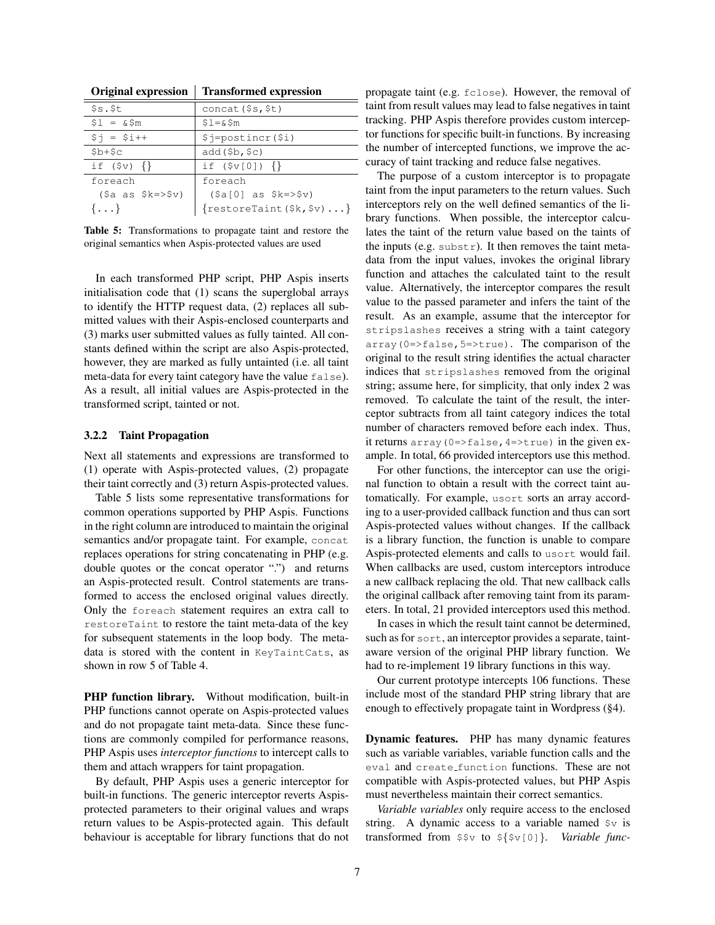| <b>Original expression</b> | <b>Transformed expression</b>                       |  |
|----------------------------|-----------------------------------------------------|--|
| s.s.t                      | concat (\$s,\$t)                                    |  |
| $$1 = \&$5m$               | $$1 = \& $m$                                        |  |
| $$i = $i++$                | \$j=postincr(\$i)                                   |  |
| $$b+$c$                    | add(5b, 5c)                                         |  |
| if $(\$v)$ $\{\}\$         | if $({\sqrt{5}} \vee [0])$ {}                       |  |
| foreach                    | foreach                                             |  |
| $(Sa as \$k=>\$v)$         | $(\frac{2}{3}a[0]$ as $\frac{2}{3}k = \frac{5}{3}v$ |  |
| $\{ \ldots \}$             | $\{ \text{restoreTaint} (\$k, \$v) \dots \}$        |  |

Table 5: Transformations to propagate taint and restore the original semantics when Aspis-protected values are used

In each transformed PHP script, PHP Aspis inserts initialisation code that (1) scans the superglobal arrays to identify the HTTP request data, (2) replaces all submitted values with their Aspis-enclosed counterparts and (3) marks user submitted values as fully tainted. All constants defined within the script are also Aspis-protected, however, they are marked as fully untainted (i.e. all taint meta-data for every taint category have the value false). As a result, all initial values are Aspis-protected in the transformed script, tainted or not.

#### 3.2.2 Taint Propagation

Next all statements and expressions are transformed to (1) operate with Aspis-protected values, (2) propagate their taint correctly and (3) return Aspis-protected values.

Table 5 lists some representative transformations for common operations supported by PHP Aspis. Functions in the right column are introduced to maintain the original semantics and/or propagate taint. For example, concat replaces operations for string concatenating in PHP (e.g. double quotes or the concat operator ".") and returns an Aspis-protected result. Control statements are transformed to access the enclosed original values directly. Only the foreach statement requires an extra call to restoreTaint to restore the taint meta-data of the key for subsequent statements in the loop body. The metadata is stored with the content in KeyTaintCats, as shown in row 5 of Table 4.

PHP function library. Without modification, built-in PHP functions cannot operate on Aspis-protected values and do not propagate taint meta-data. Since these functions are commonly compiled for performance reasons, PHP Aspis uses *interceptor functions* to intercept calls to them and attach wrappers for taint propagation.

By default, PHP Aspis uses a generic interceptor for built-in functions. The generic interceptor reverts Aspisprotected parameters to their original values and wraps return values to be Aspis-protected again. This default behaviour is acceptable for library functions that do not propagate taint (e.g. fclose). However, the removal of taint from result values may lead to false negatives in taint tracking. PHP Aspis therefore provides custom interceptor functions for specific built-in functions. By increasing the number of intercepted functions, we improve the accuracy of taint tracking and reduce false negatives.

The purpose of a custom interceptor is to propagate taint from the input parameters to the return values. Such interceptors rely on the well defined semantics of the library functions. When possible, the interceptor calculates the taint of the return value based on the taints of the inputs (e.g.  $\text{substr}$ ). It then removes the taint metadata from the input values, invokes the original library function and attaches the calculated taint to the result value. Alternatively, the interceptor compares the result value to the passed parameter and infers the taint of the result. As an example, assume that the interceptor for stripslashes receives a string with a taint category array ( $0 \Rightarrow false$ ,  $5 \Rightarrow true$ ). The comparison of the original to the result string identifies the actual character indices that stripslashes removed from the original string; assume here, for simplicity, that only index 2 was removed. To calculate the taint of the result, the interceptor subtracts from all taint category indices the total number of characters removed before each index. Thus, it returns array (0=>false, 4=>true) in the given example. In total, 66 provided interceptors use this method.

For other functions, the interceptor can use the original function to obtain a result with the correct taint automatically. For example, usort sorts an array according to a user-provided callback function and thus can sort Aspis-protected values without changes. If the callback is a library function, the function is unable to compare Aspis-protected elements and calls to usort would fail. When callbacks are used, custom interceptors introduce a new callback replacing the old. That new callback calls the original callback after removing taint from its parameters. In total, 21 provided interceptors used this method.

In cases in which the result taint cannot be determined, such as for sort, an interceptor provides a separate, taintaware version of the original PHP library function. We had to re-implement 19 library functions in this way.

Our current prototype intercepts 106 functions. These include most of the standard PHP string library that are enough to effectively propagate taint in Wordpress (§4).

Dynamic features. PHP has many dynamic features such as variable variables, variable function calls and the eval and create function functions. These are not compatible with Aspis-protected values, but PHP Aspis must nevertheless maintain their correct semantics.

*Variable variables* only require access to the enclosed string. A dynamic access to a variable named  $\gamma$  is transformed from \$\$v to \${\$v[0]}. *Variable func-*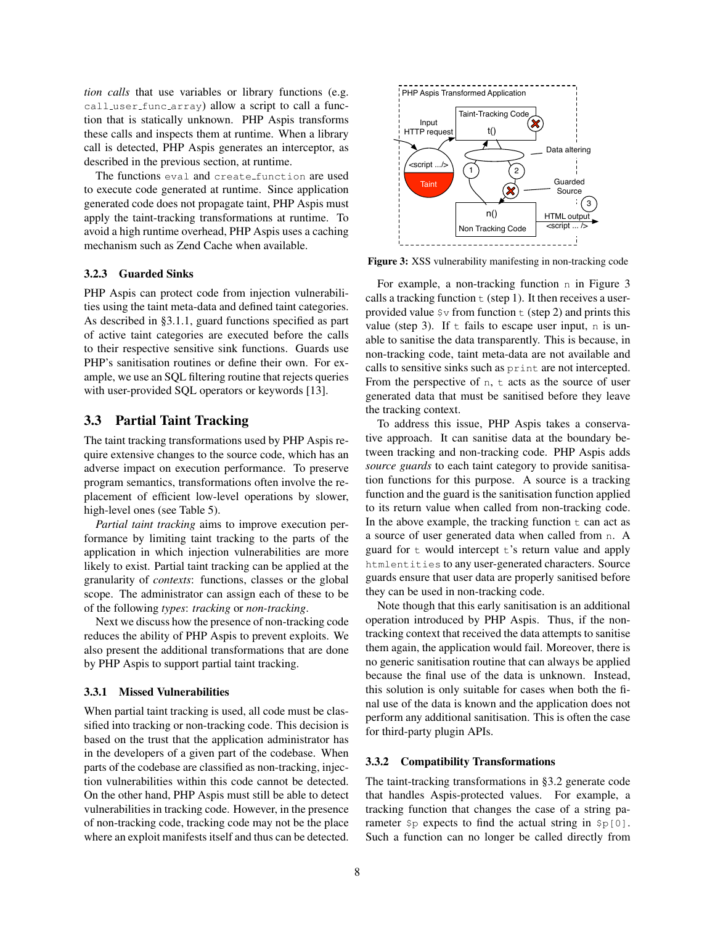*tion calls* that use variables or library functions (e.g. call user func array) allow a script to call a function that is statically unknown. PHP Aspis transforms these calls and inspects them at runtime. When a library call is detected, PHP Aspis generates an interceptor, as described in the previous section, at runtime.

The functions eval and create function are used to execute code generated at runtime. Since application generated code does not propagate taint, PHP Aspis must apply the taint-tracking transformations at runtime. To avoid a high runtime overhead, PHP Aspis uses a caching mechanism such as Zend Cache when available.

#### 3.2.3 Guarded Sinks

PHP Aspis can protect code from injection vulnerabilities using the taint meta-data and defined taint categories. As described in §3.1.1, guard functions specified as part of active taint categories are executed before the calls to their respective sensitive sink functions. Guards use PHP's sanitisation routines or define their own. For example, we use an SQL filtering routine that rejects queries with user-provided SQL operators or keywords [13].

### 3.3 Partial Taint Tracking

The taint tracking transformations used by PHP Aspis require extensive changes to the source code, which has an adverse impact on execution performance. To preserve program semantics, transformations often involve the replacement of efficient low-level operations by slower, high-level ones (see Table 5).

*Partial taint tracking* aims to improve execution performance by limiting taint tracking to the parts of the application in which injection vulnerabilities are more likely to exist. Partial taint tracking can be applied at the granularity of *contexts*: functions, classes or the global scope. The administrator can assign each of these to be of the following *types*: *tracking* or *non-tracking*.

Next we discuss how the presence of non-tracking code reduces the ability of PHP Aspis to prevent exploits. We also present the additional transformations that are done by PHP Aspis to support partial taint tracking.

### 3.3.1 Missed Vulnerabilities

When partial taint tracking is used, all code must be classified into tracking or non-tracking code. This decision is based on the trust that the application administrator has in the developers of a given part of the codebase. When parts of the codebase are classified as non-tracking, injection vulnerabilities within this code cannot be detected. On the other hand, PHP Aspis must still be able to detect vulnerabilities in tracking code. However, in the presence of non-tracking code, tracking code may not be the place where an exploit manifests itself and thus can be detected.



Figure 3: XSS vulnerability manifesting in non-tracking code

For example, a non-tracking function n in Figure 3 calls a tracking function  $\pm$  (step 1). It then receives a userprovided value  $\gamma v$  from function  $\tau$  (step 2) and prints this value (step 3). If  $\pm$  fails to escape user input, n is unable to sanitise the data transparently. This is because, in non-tracking code, taint meta-data are not available and calls to sensitive sinks such as print are not intercepted. From the perspective of  $n$ ,  $t$  acts as the source of user generated data that must be sanitised before they leave the tracking context.

To address this issue, PHP Aspis takes a conservative approach. It can sanitise data at the boundary between tracking and non-tracking code. PHP Aspis adds *source guards* to each taint category to provide sanitisation functions for this purpose. A source is a tracking function and the guard is the sanitisation function applied to its return value when called from non-tracking code. In the above example, the tracking function  $\pm$  can act as a source of user generated data when called from n. A guard for  $t$  would intercept  $t$ 's return value and apply htmlentities to any user-generated characters. Source guards ensure that user data are properly sanitised before they can be used in non-tracking code.

Note though that this early sanitisation is an additional operation introduced by PHP Aspis. Thus, if the nontracking context that received the data attempts to sanitise them again, the application would fail. Moreover, there is no generic sanitisation routine that can always be applied because the final use of the data is unknown. Instead, this solution is only suitable for cases when both the final use of the data is known and the application does not perform any additional sanitisation. This is often the case for third-party plugin APIs.

#### 3.3.2 Compatibility Transformations

The taint-tracking transformations in §3.2 generate code that handles Aspis-protected values. For example, a tracking function that changes the case of a string parameter  $\wp$  expects to find the actual string in  $\wp[0]$ . Such a function can no longer be called directly from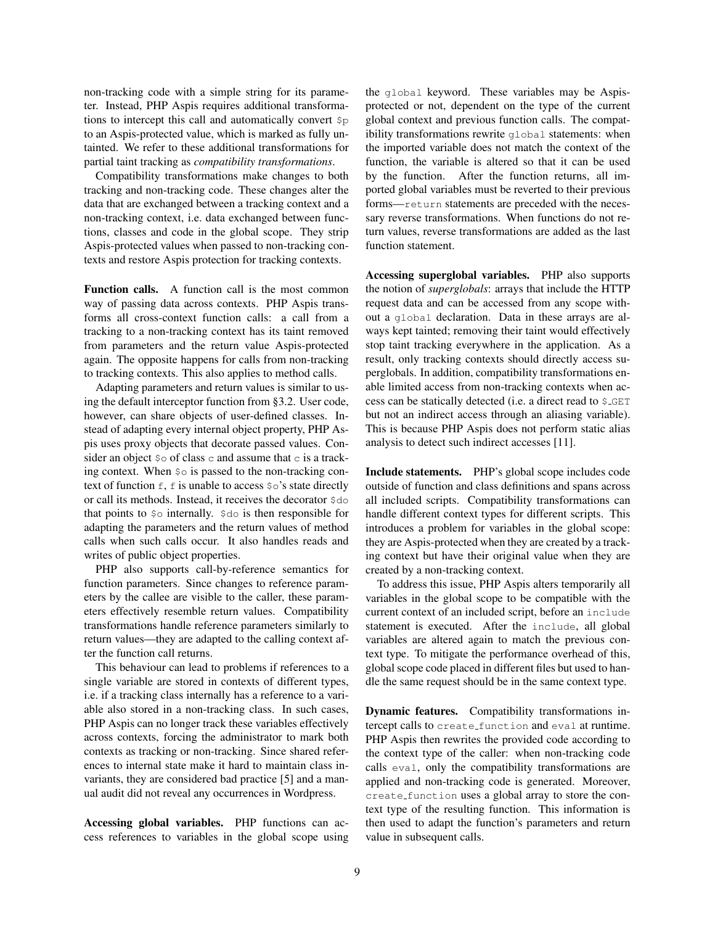non-tracking code with a simple string for its parameter. Instead, PHP Aspis requires additional transformations to intercept this call and automatically convert \$p to an Aspis-protected value, which is marked as fully untainted. We refer to these additional transformations for partial taint tracking as *compatibility transformations*.

Compatibility transformations make changes to both tracking and non-tracking code. These changes alter the data that are exchanged between a tracking context and a non-tracking context, i.e. data exchanged between functions, classes and code in the global scope. They strip Aspis-protected values when passed to non-tracking contexts and restore Aspis protection for tracking contexts.

Function calls. A function call is the most common way of passing data across contexts. PHP Aspis transforms all cross-context function calls: a call from a tracking to a non-tracking context has its taint removed from parameters and the return value Aspis-protected again. The opposite happens for calls from non-tracking to tracking contexts. This also applies to method calls.

Adapting parameters and return values is similar to using the default interceptor function from §3.2. User code, however, can share objects of user-defined classes. Instead of adapting every internal object property, PHP Aspis uses proxy objects that decorate passed values. Consider an object  $\varsigma \circ$  of class c and assume that c is a tracking context. When  $\varsigma$ <sup>o</sup> is passed to the non-tracking context of function  $f$ , f is unable to access  $\circ \circ$ 's state directly or call its methods. Instead, it receives the decorator \$do that points to \$o internally. \$do is then responsible for adapting the parameters and the return values of method calls when such calls occur. It also handles reads and writes of public object properties.

PHP also supports call-by-reference semantics for function parameters. Since changes to reference parameters by the callee are visible to the caller, these parameters effectively resemble return values. Compatibility transformations handle reference parameters similarly to return values—they are adapted to the calling context after the function call returns.

This behaviour can lead to problems if references to a single variable are stored in contexts of different types, i.e. if a tracking class internally has a reference to a variable also stored in a non-tracking class. In such cases, PHP Aspis can no longer track these variables effectively across contexts, forcing the administrator to mark both contexts as tracking or non-tracking. Since shared references to internal state make it hard to maintain class invariants, they are considered bad practice [5] and a manual audit did not reveal any occurrences in Wordpress.

Accessing global variables. PHP functions can access references to variables in the global scope using the global keyword. These variables may be Aspisprotected or not, dependent on the type of the current global context and previous function calls. The compatibility transformations rewrite global statements: when the imported variable does not match the context of the function, the variable is altered so that it can be used by the function. After the function returns, all imported global variables must be reverted to their previous forms—return statements are preceded with the necessary reverse transformations. When functions do not return values, reverse transformations are added as the last function statement.

Accessing superglobal variables. PHP also supports the notion of *superglobals*: arrays that include the HTTP request data and can be accessed from any scope without a global declaration. Data in these arrays are always kept tainted; removing their taint would effectively stop taint tracking everywhere in the application. As a result, only tracking contexts should directly access superglobals. In addition, compatibility transformations enable limited access from non-tracking contexts when access can be statically detected (i.e. a direct read to \$ GET but not an indirect access through an aliasing variable). This is because PHP Aspis does not perform static alias analysis to detect such indirect accesses [11].

Include statements. PHP's global scope includes code outside of function and class definitions and spans across all included scripts. Compatibility transformations can handle different context types for different scripts. This introduces a problem for variables in the global scope: they are Aspis-protected when they are created by a tracking context but have their original value when they are created by a non-tracking context.

To address this issue, PHP Aspis alters temporarily all variables in the global scope to be compatible with the current context of an included script, before an include statement is executed. After the include, all global variables are altered again to match the previous context type. To mitigate the performance overhead of this, global scope code placed in different files but used to handle the same request should be in the same context type.

Dynamic features. Compatibility transformations intercept calls to create function and eval at runtime. PHP Aspis then rewrites the provided code according to the context type of the caller: when non-tracking code calls eval, only the compatibility transformations are applied and non-tracking code is generated. Moreover, create function uses a global array to store the context type of the resulting function. This information is then used to adapt the function's parameters and return value in subsequent calls.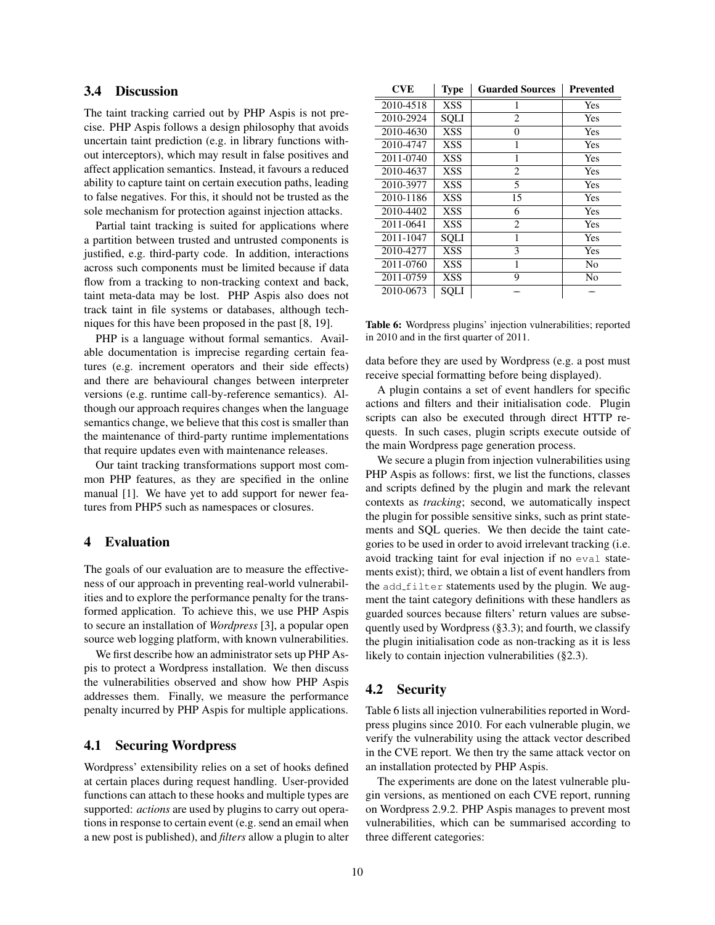# 3.4 Discussion

The taint tracking carried out by PHP Aspis is not precise. PHP Aspis follows a design philosophy that avoids uncertain taint prediction (e.g. in library functions without interceptors), which may result in false positives and affect application semantics. Instead, it favours a reduced ability to capture taint on certain execution paths, leading to false negatives. For this, it should not be trusted as the sole mechanism for protection against injection attacks.

Partial taint tracking is suited for applications where a partition between trusted and untrusted components is justified, e.g. third-party code. In addition, interactions across such components must be limited because if data flow from a tracking to non-tracking context and back, taint meta-data may be lost. PHP Aspis also does not track taint in file systems or databases, although techniques for this have been proposed in the past [8, 19].

PHP is a language without formal semantics. Available documentation is imprecise regarding certain features (e.g. increment operators and their side effects) and there are behavioural changes between interpreter versions (e.g. runtime call-by-reference semantics). Although our approach requires changes when the language semantics change, we believe that this cost is smaller than the maintenance of third-party runtime implementations that require updates even with maintenance releases.

Our taint tracking transformations support most common PHP features, as they are specified in the online manual [1]. We have yet to add support for newer features from PHP5 such as namespaces or closures.

### 4 Evaluation

The goals of our evaluation are to measure the effectiveness of our approach in preventing real-world vulnerabilities and to explore the performance penalty for the transformed application. To achieve this, we use PHP Aspis to secure an installation of *Wordpress* [3], a popular open source web logging platform, with known vulnerabilities.

We first describe how an administrator sets up PHP Aspis to protect a Wordpress installation. We then discuss the vulnerabilities observed and show how PHP Aspis addresses them. Finally, we measure the performance penalty incurred by PHP Aspis for multiple applications.

### 4.1 Securing Wordpress

Wordpress' extensibility relies on a set of hooks defined at certain places during request handling. User-provided functions can attach to these hooks and multiple types are supported: *actions* are used by plugins to carry out operations in response to certain event (e.g. send an email when a new post is published), and *filters* allow a plugin to alter

| <b>CVE</b> | Type        | <b>Guarded Sources</b> | <b>Prevented</b> |
|------------|-------------|------------------------|------------------|
| 2010-4518  | <b>XSS</b>  |                        | <b>Yes</b>       |
| 2010-2924  | <b>SOLI</b> | 2                      | Yes              |
| 2010-4630  | <b>XSS</b>  | $\Omega$               | Yes              |
| 2010-4747  | <b>XSS</b>  | 1                      | Yes              |
| 2011-0740  | XSS         |                        | Yes              |
| 2010-4637  | XSS         | 2                      | Yes              |
| 2010-3977  | <b>XSS</b>  | 5                      | Yes              |
| 2010-1186  | <b>XSS</b>  | 15                     | Yes              |
| 2010-4402  | XSS         | 6                      | Yes              |
| 2011-0641  | XSS         | 2                      | Yes              |
| 2011-1047  | <b>SQLI</b> |                        | Yes              |
| 2010-4277  | XSS         | 3                      | Yes              |
| 2011-0760  | <b>XSS</b>  |                        | No               |
| 2011-0759  | <b>XSS</b>  | 9                      | No               |
| 2010-0673  | SQLI        |                        |                  |

Table 6: Wordpress plugins' injection vulnerabilities; reported in 2010 and in the first quarter of 2011.

data before they are used by Wordpress (e.g. a post must receive special formatting before being displayed).

A plugin contains a set of event handlers for specific actions and filters and their initialisation code. Plugin scripts can also be executed through direct HTTP requests. In such cases, plugin scripts execute outside of the main Wordpress page generation process.

We secure a plugin from injection vulnerabilities using PHP Aspis as follows: first, we list the functions, classes and scripts defined by the plugin and mark the relevant contexts as *tracking*; second, we automatically inspect the plugin for possible sensitive sinks, such as print statements and SQL queries. We then decide the taint categories to be used in order to avoid irrelevant tracking (i.e. avoid tracking taint for eval injection if no eval statements exist); third, we obtain a list of event handlers from the add filter statements used by the plugin. We augment the taint category definitions with these handlers as guarded sources because filters' return values are subsequently used by Wordpress (§3.3); and fourth, we classify the plugin initialisation code as non-tracking as it is less likely to contain injection vulnerabilities (§2.3).

## 4.2 Security

Table 6 lists all injection vulnerabilities reported in Wordpress plugins since 2010. For each vulnerable plugin, we verify the vulnerability using the attack vector described in the CVE report. We then try the same attack vector on an installation protected by PHP Aspis.

The experiments are done on the latest vulnerable plugin versions, as mentioned on each CVE report, running on Wordpress 2.9.2. PHP Aspis manages to prevent most vulnerabilities, which can be summarised according to three different categories: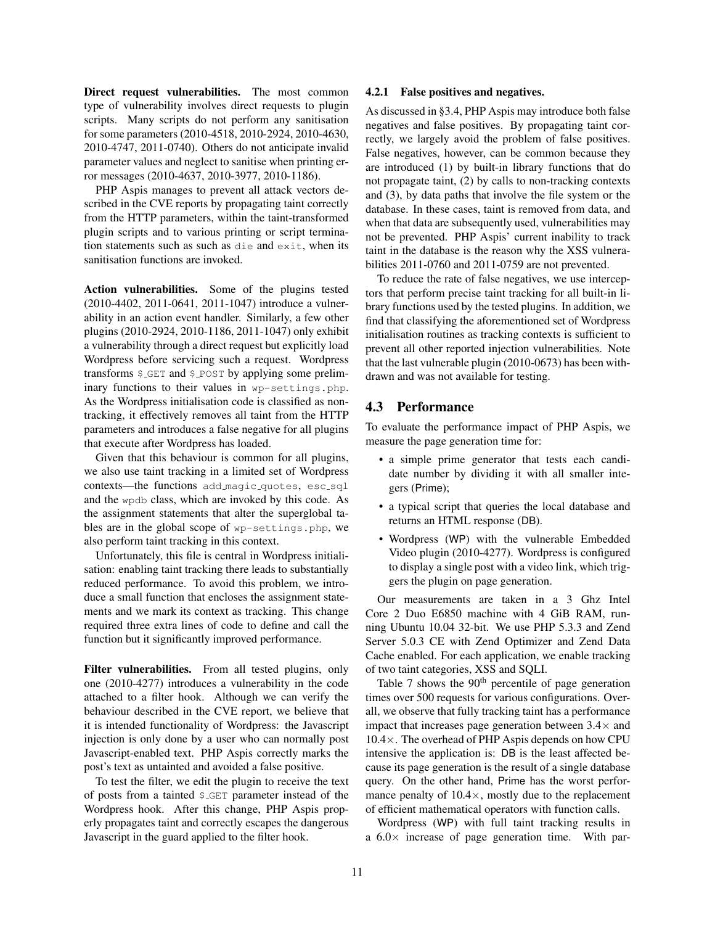Direct request vulnerabilities. The most common type of vulnerability involves direct requests to plugin scripts. Many scripts do not perform any sanitisation for some parameters (2010-4518, 2010-2924, 2010-4630, 2010-4747, 2011-0740). Others do not anticipate invalid parameter values and neglect to sanitise when printing error messages (2010-4637, 2010-3977, 2010-1186).

PHP Aspis manages to prevent all attack vectors described in the CVE reports by propagating taint correctly from the HTTP parameters, within the taint-transformed plugin scripts and to various printing or script termination statements such as such as die and exit, when its sanitisation functions are invoked.

Action vulnerabilities. Some of the plugins tested (2010-4402, 2011-0641, 2011-1047) introduce a vulnerability in an action event handler. Similarly, a few other plugins (2010-2924, 2010-1186, 2011-1047) only exhibit a vulnerability through a direct request but explicitly load Wordpress before servicing such a request. Wordpress transforms \$ GET and \$ POST by applying some preliminary functions to their values in wp-settings.php. As the Wordpress initialisation code is classified as nontracking, it effectively removes all taint from the HTTP parameters and introduces a false negative for all plugins that execute after Wordpress has loaded.

Given that this behaviour is common for all plugins, we also use taint tracking in a limited set of Wordpress contexts—the functions add\_magic\_quotes, esc\_sql and the wpdb class, which are invoked by this code. As the assignment statements that alter the superglobal tables are in the global scope of wp-settings.php, we also perform taint tracking in this context.

Unfortunately, this file is central in Wordpress initialisation: enabling taint tracking there leads to substantially reduced performance. To avoid this problem, we introduce a small function that encloses the assignment statements and we mark its context as tracking. This change required three extra lines of code to define and call the function but it significantly improved performance.

Filter vulnerabilities. From all tested plugins, only one (2010-4277) introduces a vulnerability in the code attached to a filter hook. Although we can verify the behaviour described in the CVE report, we believe that it is intended functionality of Wordpress: the Javascript injection is only done by a user who can normally post Javascript-enabled text. PHP Aspis correctly marks the post's text as untainted and avoided a false positive.

To test the filter, we edit the plugin to receive the text of posts from a tainted \$ GET parameter instead of the Wordpress hook. After this change, PHP Aspis properly propagates taint and correctly escapes the dangerous Javascript in the guard applied to the filter hook.

#### 4.2.1 False positives and negatives.

As discussed in §3.4, PHP Aspis may introduce both false negatives and false positives. By propagating taint correctly, we largely avoid the problem of false positives. False negatives, however, can be common because they are introduced (1) by built-in library functions that do not propagate taint, (2) by calls to non-tracking contexts and (3), by data paths that involve the file system or the database. In these cases, taint is removed from data, and when that data are subsequently used, vulnerabilities may not be prevented. PHP Aspis' current inability to track taint in the database is the reason why the XSS vulnerabilities 2011-0760 and 2011-0759 are not prevented.

To reduce the rate of false negatives, we use interceptors that perform precise taint tracking for all built-in library functions used by the tested plugins. In addition, we find that classifying the aforementioned set of Wordpress initialisation routines as tracking contexts is sufficient to prevent all other reported injection vulnerabilities. Note that the last vulnerable plugin (2010-0673) has been withdrawn and was not available for testing.

### 4.3 Performance

To evaluate the performance impact of PHP Aspis, we measure the page generation time for:

- a simple prime generator that tests each candidate number by dividing it with all smaller integers (Prime);
- a typical script that queries the local database and returns an HTML response (DB).
- Wordpress (WP) with the vulnerable Embedded Video plugin (2010-4277). Wordpress is configured to display a single post with a video link, which triggers the plugin on page generation.

Our measurements are taken in a 3 Ghz Intel Core 2 Duo E6850 machine with 4 GiB RAM, running Ubuntu 10.04 32-bit. We use PHP 5.3.3 and Zend Server 5.0.3 CE with Zend Optimizer and Zend Data Cache enabled. For each application, we enable tracking of two taint categories, XSS and SQLI.

Table 7 shows the  $90<sup>th</sup>$  percentile of page generation times over 500 requests for various configurations. Overall, we observe that fully tracking taint has a performance impact that increases page generation between  $3.4\times$  and  $10.4\times$ . The overhead of PHP Aspis depends on how CPU intensive the application is: DB is the least affected because its page generation is the result of a single database query. On the other hand, Prime has the worst performance penalty of  $10.4 \times$ , mostly due to the replacement of efficient mathematical operators with function calls.

Wordpress (WP) with full taint tracking results in a  $6.0\times$  increase of page generation time. With par-